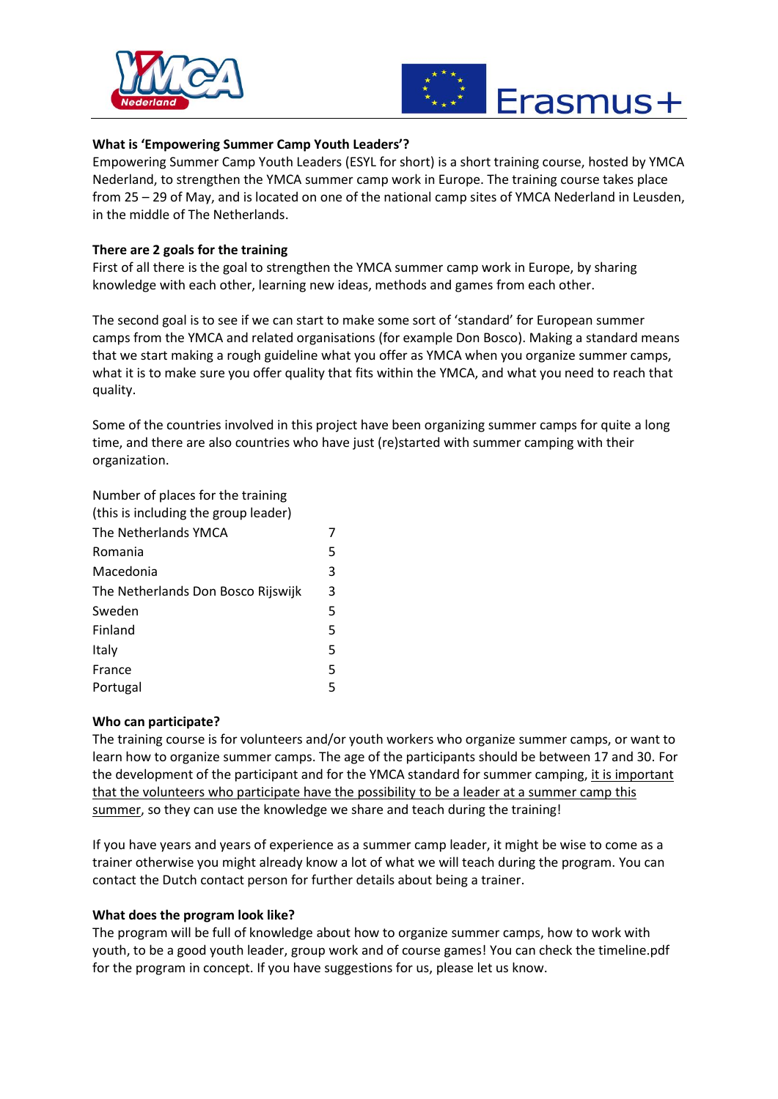



# **What is 'Empowering Summer Camp Youth Leaders'?**

Empowering Summer Camp Youth Leaders (ESYL for short) is a short training course, hosted by YMCA Nederland, to strengthen the YMCA summer camp work in Europe. The training course takes place from 25 – 29 of May, and is located on one of the national camp sites of YMCA Nederland in Leusden, in the middle of The Netherlands.

## **There are 2 goals for the training**

First of all there is the goal to strengthen the YMCA summer camp work in Europe, by sharing knowledge with each other, learning new ideas, methods and games from each other.

The second goal is to see if we can start to make some sort of 'standard' for European summer camps from the YMCA and related organisations (for example Don Bosco). Making a standard means that we start making a rough guideline what you offer as YMCA when you organize summer camps, what it is to make sure you offer quality that fits within the YMCA, and what you need to reach that quality.

Some of the countries involved in this project have been organizing summer camps for quite a long time, and there are also countries who have just (re)started with summer camping with their organization.

Number of places for the training (this is including the group leader) The Netherlands YMCA 7 Romania 5 Macedonia 3 The Netherlands Don Bosco Rijswijk 3 Sweden 5 Finland 5 Italy 5 France 5

Portugal 5

## **Who can participate?**

The training course is for volunteers and/or youth workers who organize summer camps, or want to learn how to organize summer camps. The age of the participants should be between 17 and 30. For the development of the participant and for the YMCA standard for summer camping, it is important that the volunteers who participate have the possibility to be a leader at a summer camp this summer, so they can use the knowledge we share and teach during the training!

If you have years and years of experience as a summer camp leader, it might be wise to come as a trainer otherwise you might already know a lot of what we will teach during the program. You can contact the Dutch contact person for further details about being a trainer.

## **What does the program look like?**

The program will be full of knowledge about how to organize summer camps, how to work with youth, to be a good youth leader, group work and of course games! You can check the timeline.pdf for the program in concept. If you have suggestions for us, please let us know.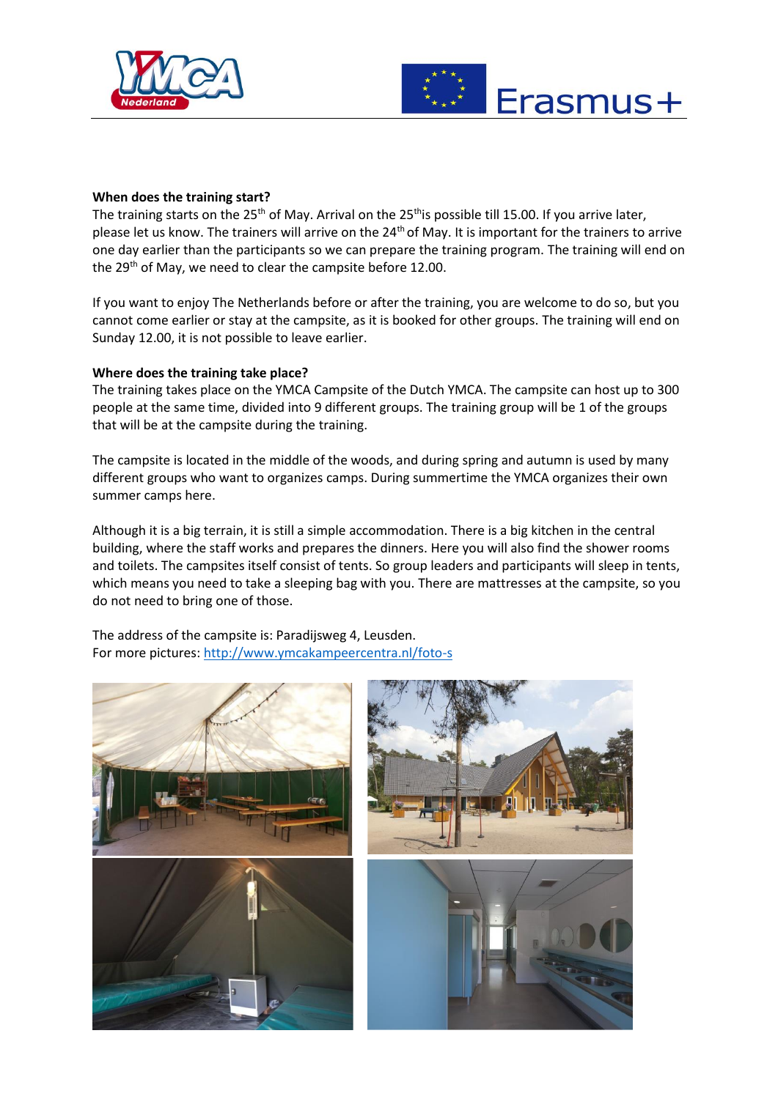



### **When does the training start?**

The training starts on the 25<sup>th</sup> of May. Arrival on the 25<sup>th</sup>is possible till 15.00. If you arrive later, please let us know. The trainers will arrive on the 24<sup>th</sup> of May. It is important for the trainers to arrive one day earlier than the participants so we can prepare the training program. The training will end on the 29<sup>th</sup> of May, we need to clear the campsite before 12.00.

If you want to enjoy The Netherlands before or after the training, you are welcome to do so, but you cannot come earlier or stay at the campsite, as it is booked for other groups. The training will end on Sunday 12.00, it is not possible to leave earlier.

### **Where does the training take place?**

The training takes place on the YMCA Campsite of the Dutch YMCA. The campsite can host up to 300 people at the same time, divided into 9 different groups. The training group will be 1 of the groups that will be at the campsite during the training.

The campsite is located in the middle of the woods, and during spring and autumn is used by many different groups who want to organizes camps. During summertime the YMCA organizes their own summer camps here.

Although it is a big terrain, it is still a simple accommodation. There is a big kitchen in the central building, where the staff works and prepares the dinners. Here you will also find the shower rooms and toilets. The campsites itself consist of tents. So group leaders and participants will sleep in tents, which means you need to take a sleeping bag with you. There are mattresses at the campsite, so you do not need to bring one of those.

The address of the campsite is: Paradijsweg 4, Leusden. For more pictures:<http://www.ymcakampeercentra.nl/foto-s>

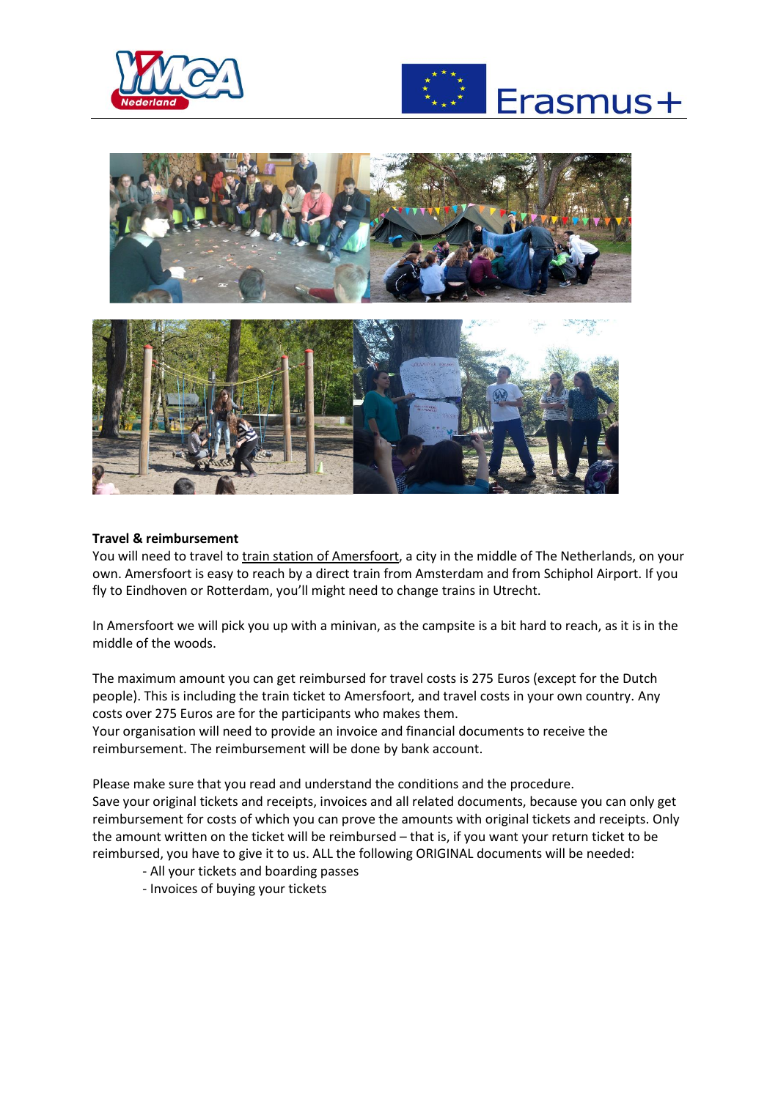





### **Travel & reimbursement**

You will need to travel to train station of Amersfoort, a city in the middle of The Netherlands, on your own. Amersfoort is easy to reach by a direct train from Amsterdam and from Schiphol Airport. If you fly to Eindhoven or Rotterdam, you'll might need to change trains in Utrecht.

In Amersfoort we will pick you up with a minivan, as the campsite is a bit hard to reach, as it is in the middle of the woods.

The maximum amount you can get reimbursed for travel costs is 275 Euros (except for the Dutch people). This is including the train ticket to Amersfoort, and travel costs in your own country. Any costs over 275 Euros are for the participants who makes them.

Your organisation will need to provide an invoice and financial documents to receive the reimbursement. The reimbursement will be done by bank account.

Please make sure that you read and understand the conditions and the procedure. Save your original tickets and receipts, invoices and all related documents, because you can only get reimbursement for costs of which you can prove the amounts with original tickets and receipts. Only the amount written on the ticket will be reimbursed – that is, if you want your return ticket to be reimbursed, you have to give it to us. ALL the following ORIGINAL documents will be needed:

- All your tickets and boarding passes
- Invoices of buying your tickets